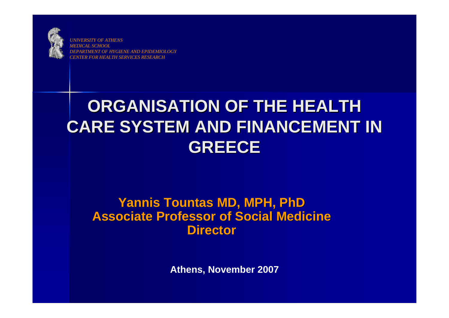

*UNIVERSITY OF ATHENSMEDICAL SCHOOLDERAT OF HYGIENE AND EPIDEMIOLOGY CENTER FOR HEALTH SERVICES RESEARCH*

# **ORGANISATION OF THE HEALTH CARE SYSTEM AND FINANCEMENT IN GREECE**

### **Yannis Tountas MD, MPH, PhD Yannis Tountas MD, MPH, PhD Associate Professor of Social Medicine Associate Professor of Social Medicine Director**

**Athens, November 2007**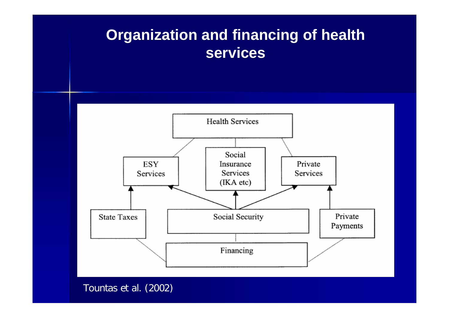### **Organization and financing of health services**



Tountas et al. (2002)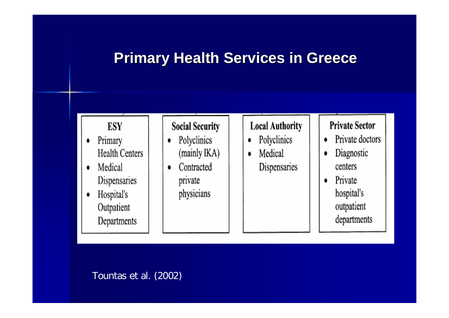### **Primary Health Services in Greece**

#### **ESY**

- Primary ٠ **Health Centers**
- Medical  $\bullet$ Dispensaries
- Hospital's  $\bullet$ Outpatient Departments

#### **Social Security**

- Polyclinics ۰ (mainly IKA)
- Contracted  $\bullet$ private physicians

#### **Local Authority**

- Polyclinics ٠
- Medical ٠ Dispensaries

#### **Private Sector**

- Private doctors ٠
- Diagnostic centers
- Private  $\bullet$ hospital's outpatient departments

#### Tountas et al. (2002)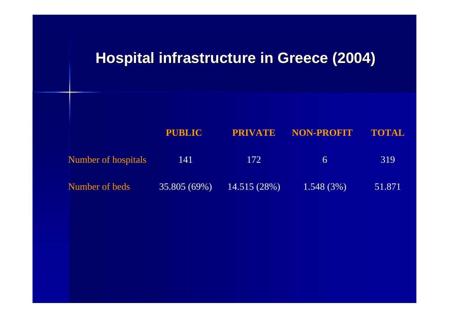### **Hospital infrastructure in Greece (2004) Hospital infrastructure in Greece (2004)**

|                     | <b>PUBLIC</b> |             | <b>PRIVATE NON-PROFIT</b> | TOTAL  |  |
|---------------------|---------------|-------------|---------------------------|--------|--|
| Number of hospitals | 141           | 172         | $\sigma$                  | 319    |  |
| Number of beds      | 35.805(69%)   | 14.515(28%) | 1.548(3%)                 | 51.871 |  |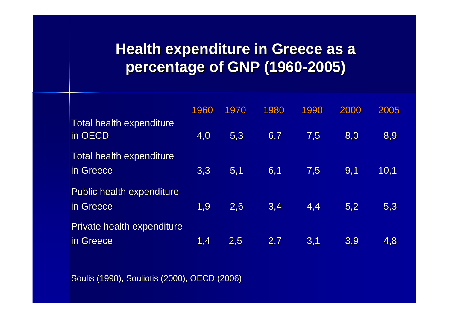# **Health expenditure in Greece as a percentage of GNP (1960 percentage of GNP (1960 -2005)**

|                                               | 1960 | 1970 | 1980 | 1990 | 2000 | 2005 |
|-----------------------------------------------|------|------|------|------|------|------|
| Total health expenditure<br>in OECD           | 4,0  | 5,3  | 6,7  | 7,5  | 8,0  | 8,9  |
| Total health expenditure<br>in Greece         | 3,3  | 5,1  | 6,1  | 7,5  | 9,1  | 10,1 |
| <b>Public health expenditure</b><br>in Greece | 1.9  | 2,6  | 3,4  | 4,4  | 5,2  | 5,3  |
| Private health expenditure<br>in Greece       | 1,4  | 2,5  | 2,7  | 3,1  | 3,9  | 4,8  |

Soulis (1998), Souliotis (2000), OECD (2006)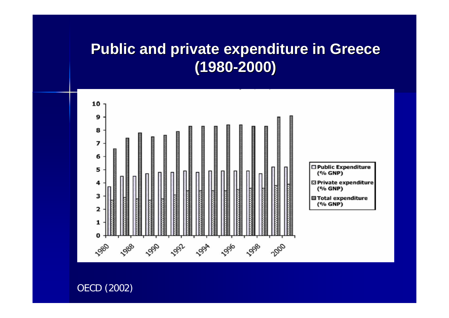### **Public and private expenditure in Greece (1980 -2000)**



OECD (2002)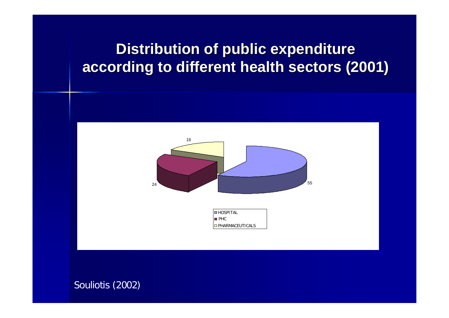# **Distribution of public expenditure according to different health sectors (2001) according to different health sectors (2001)**



Souliotis (2002)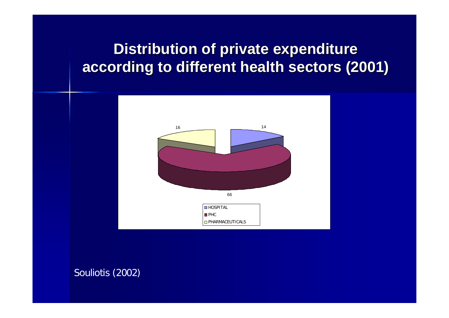# **Distribution of private expenditure according to different health sectors (2001) according to different health sectors (2001)**



Souliotis (2002)